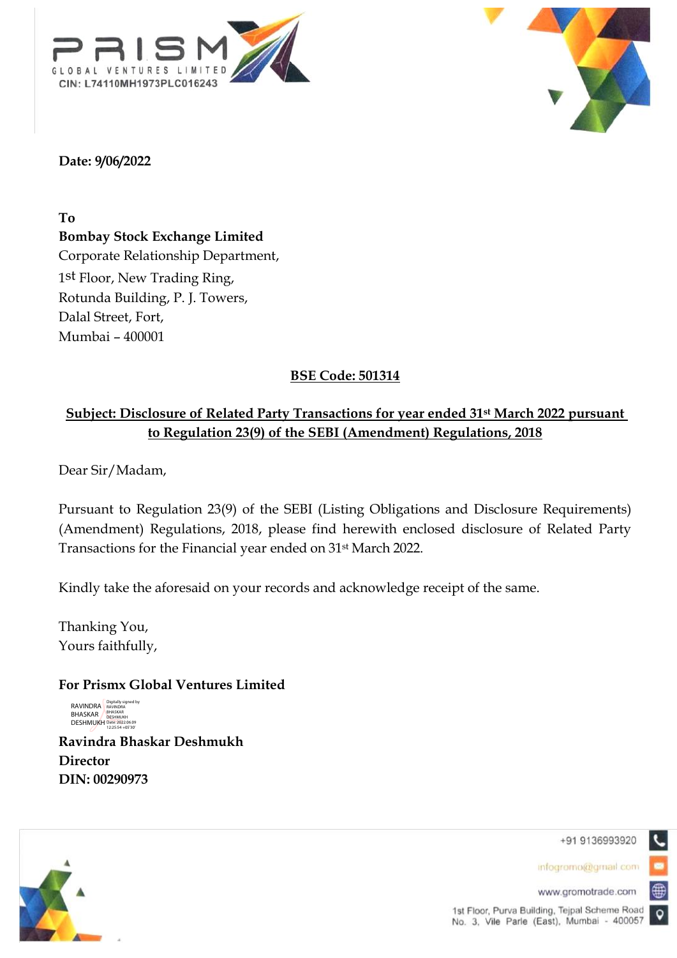



### **Date: 9/06/2022**

**To**

**Bombay Stock Exchange Limited**  Corporate Relationship Department, 1st Floor, New Trading Ring, Rotunda Building, P. J. Towers, Dalal Street, Fort, Mumbai – 400001

# **BSE Code: 501314**

## **Subject: Disclosure of Related Party Transactions for year ended 31st March 2022 pursuant to Regulation 23(9) of the SEBI (Amendment) Regulations, 2018**

Dear Sir/Madam,

Pursuant to Regulation 23(9) of the SEBI (Listing Obligations and Disclosure Requirements) (Amendment) Regulations, 2018, please find herewith enclosed disclosure of Related Party Transactions for the Financial year ended on 31st March 2022.

Kindly take the aforesaid on your records and acknowledge receipt of the same.

Thanking You, Yours faithfully,

#### **For Prismx Global Ventures Limited**

RAVINDRA<br>BHASKAR<br>DESHMUKH Digitally signed by RAVINDRA BHASKAR DESHMUKH Date: 2022.06.09 12:25:54 +05'30'

**Ravindra Bhaskar Deshmukh Director DIN: 00290973**



+91 9136993920

infogromo@gmail.com

www.gromotrade.com

⊕

 $\bullet$ 

1st Floor, Purva Building, Tejpal Scheme Road No. 3, Vile Parle (East), Mumbai - 400057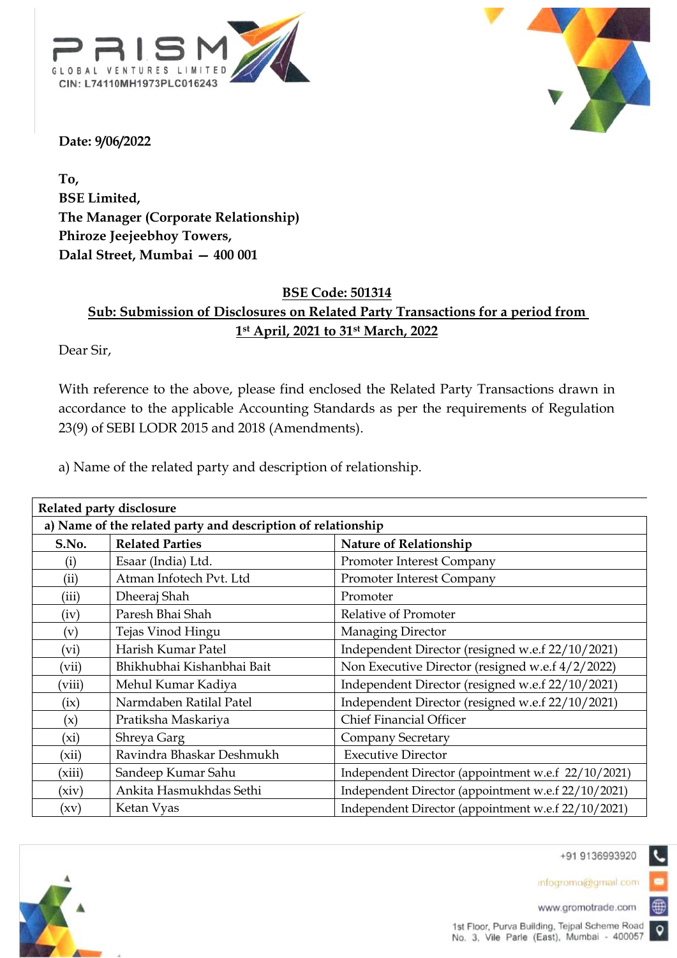



**Date: 9/06/2022**

**To, BSE Limited, The Manager (Corporate Relationship) Phiroze Jeejeebhoy Towers, Dalal Street, Mumbai — 400 001**

## **BSE Code: 501314 Sub: Submission of Disclosures on Related Party Transactions for a period from 1st April, 2021 to 31st March, 2022**

Dear Sir,

With reference to the above, please find enclosed the Related Party Transactions drawn in accordance to the applicable Accounting Standards as per the requirements of Regulation 23(9) of SEBI LODR 2015 and 2018 (Amendments).

a) Name of the related party and description of relationship.

| Related party disclosure                                     |                            |                                                     |  |  |  |
|--------------------------------------------------------------|----------------------------|-----------------------------------------------------|--|--|--|
| a) Name of the related party and description of relationship |                            |                                                     |  |  |  |
| S.No.                                                        | <b>Related Parties</b>     | <b>Nature of Relationship</b>                       |  |  |  |
| $\rm(i)$                                                     | Esaar (India) Ltd.         | <b>Promoter Interest Company</b>                    |  |  |  |
| (ii)                                                         | Atman Infotech Pvt. Ltd    | Promoter Interest Company                           |  |  |  |
| (iii)                                                        | Dheeraj Shah               | Promoter                                            |  |  |  |
| (iv)                                                         | Paresh Bhai Shah           | Relative of Promoter                                |  |  |  |
| (v)                                                          | Tejas Vinod Hingu          | Managing Director                                   |  |  |  |
| (vi)                                                         | Harish Kumar Patel         | Independent Director (resigned w.e.f 22/10/2021)    |  |  |  |
| (vii)                                                        | Bhikhubhai Kishanbhai Bait | Non Executive Director (resigned w.e.f 4/2/2022)    |  |  |  |
| (viii)                                                       | Mehul Kumar Kadiya         | Independent Director (resigned w.e.f 22/10/2021)    |  |  |  |
| (ix)                                                         | Narmdaben Ratilal Patel    | Independent Director (resigned w.e.f 22/10/2021)    |  |  |  |
| (x)                                                          | Pratiksha Maskariya        | <b>Chief Financial Officer</b>                      |  |  |  |
| $(x_i)$                                                      | Shreya Garg                | <b>Company Secretary</b>                            |  |  |  |
| (xii)                                                        | Ravindra Bhaskar Deshmukh  | <b>Executive Director</b>                           |  |  |  |
| (xiii)                                                       | Sandeep Kumar Sahu         | Independent Director (appointment w.e.f 22/10/2021) |  |  |  |
| (xiv)                                                        | Ankita Hasmukhdas Sethi    | Independent Director (appointment w.e.f 22/10/2021) |  |  |  |
| (xv)                                                         | Ketan Vyas                 | Independent Director (appointment w.e.f 22/10/2021) |  |  |  |



+91 9136993920

infogromo@gmail.com

www.gromotrade.com

⊕

 $\bullet$